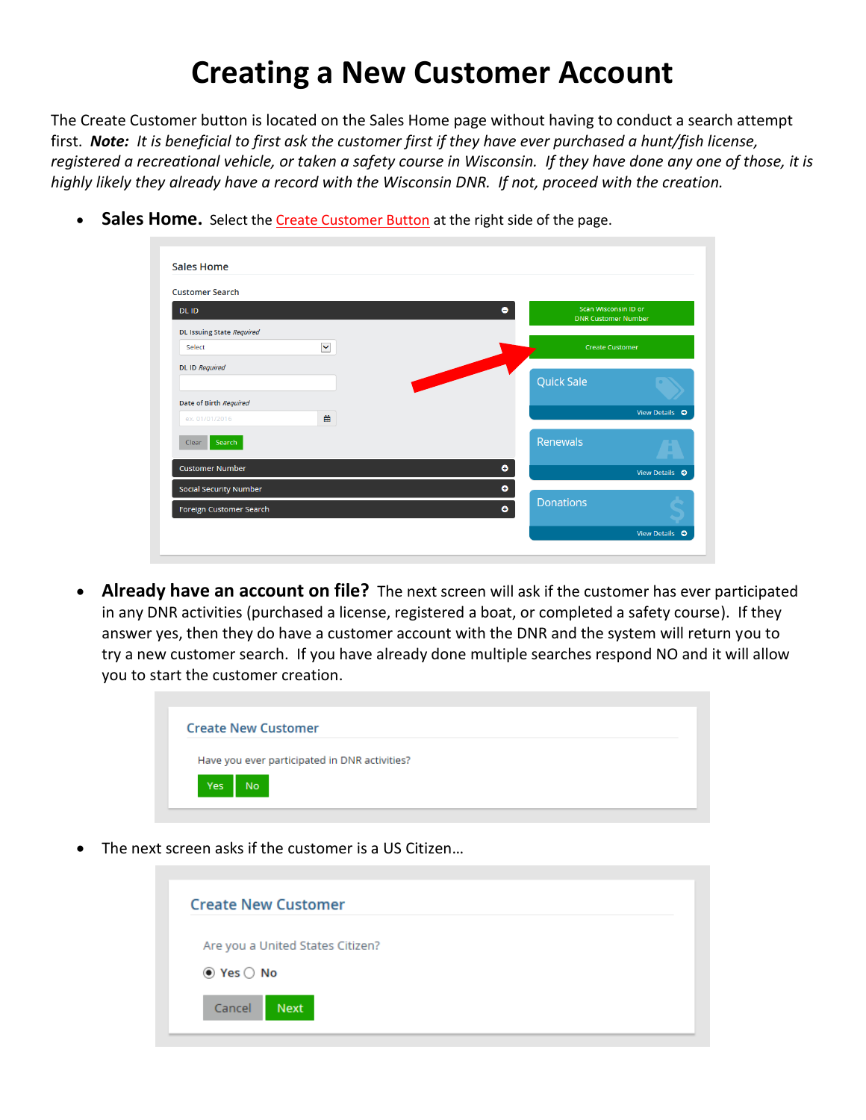## **Creating a New Customer Account**

The Create Customer button is located on the Sales Home page without having to conduct a search attempt first. *Note: It is beneficial to first ask the customer first if they have ever purchased a hunt/fish license, registered a recreational vehicle, or taken a safety course in Wisconsin. If they have done any one of those, it is highly likely they already have a record with the Wisconsin DNR. If not, proceed with the creation.*

| <b>Customer Search</b>           |              |                   |                               |                                                    |  |  |
|----------------------------------|--------------|-------------------|-------------------------------|----------------------------------------------------|--|--|
| DL ID                            |              |                   | $\bullet$                     | Scan Wisconsin ID or<br><b>DNR Customer Number</b> |  |  |
| <b>DL Issuing State Required</b> |              |                   |                               |                                                    |  |  |
| Select                           | $\checkmark$ |                   |                               | <b>Create Customer</b>                             |  |  |
| <b>DL ID Required</b>            |              | <b>CONTRACTOR</b> |                               |                                                    |  |  |
|                                  |              |                   | <b>Quick Sale</b>             |                                                    |  |  |
| Date of Birth Required           |              |                   |                               | View Details ©                                     |  |  |
| ex. 01/01/2016                   | 巤            |                   |                               |                                                    |  |  |
| Search<br>Clear                  |              |                   | Renewals                      |                                                    |  |  |
| <b>Customer Number</b>           |              |                   | $\bullet$                     | View Details <sup>O</sup>                          |  |  |
| Social Security Number           |              |                   | ۰                             |                                                    |  |  |
| Foreign Customer Search          |              |                   | <b>Donations</b><br>$\bullet$ |                                                    |  |  |

**Sales Home.** Select the Create Customer Button at the right side of the page.

• **Already have an account on file?** The next screen will ask if the customer has ever participated in any DNR activities (purchased a license, registered a boat, or completed a safety course). If they answer yes, then they do have a customer account with the DNR and the system will return you to try a new customer search. If you have already done multiple searches respond NO and it will allow you to start the customer creation.

|     | <b>Create New Customer</b> |                                               |  |  |
|-----|----------------------------|-----------------------------------------------|--|--|
|     |                            | Have you ever participated in DNR activities? |  |  |
| Yes | No.                        |                                               |  |  |

The next screen asks if the customer is a US Citizen...

| <b>Create New Customer</b>       |  |
|----------------------------------|--|
| Are you a United States Citizen? |  |
| $\odot$ Yes $\bigcirc$ No        |  |
| Cancel<br>Next                   |  |